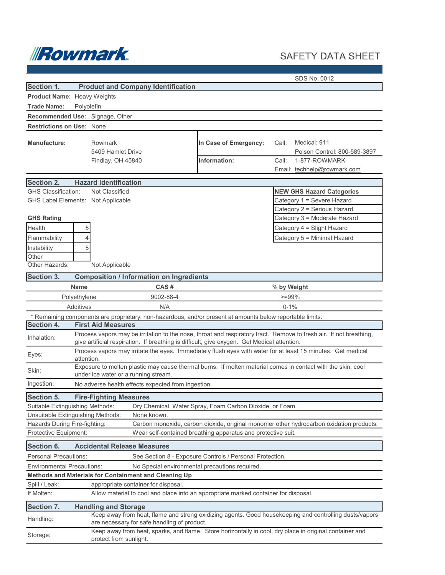

# SAFETY DATA SHEET

SDS No: 0012

| Section 1.                                                                                                               | <b>Product and Company Identification</b>                                                                                                             |                                                         |                                                                                                                    |  |
|--------------------------------------------------------------------------------------------------------------------------|-------------------------------------------------------------------------------------------------------------------------------------------------------|---------------------------------------------------------|--------------------------------------------------------------------------------------------------------------------|--|
| Product Name: Heavy Weights                                                                                              |                                                                                                                                                       |                                                         |                                                                                                                    |  |
| <b>Trade Name:</b><br>Polyolefin                                                                                         |                                                                                                                                                       |                                                         |                                                                                                                    |  |
|                                                                                                                          | Recommended Use: Signage, Other                                                                                                                       |                                                         |                                                                                                                    |  |
| <b>Restrictions on Use: None</b>                                                                                         |                                                                                                                                                       |                                                         |                                                                                                                    |  |
| Manufacture:                                                                                                             | Rowmark<br>5409 Hamlet Drive<br>Findlay, OH 45840                                                                                                     | In Case of Emergency:<br>Information:                   | Medical: 911<br>Call:<br>Poison Control: 800-589-3897<br>Call:<br>1-877-ROWMARK                                    |  |
|                                                                                                                          |                                                                                                                                                       |                                                         | Email: techhelp@rowmark.com                                                                                        |  |
| <b>Section 2.</b>                                                                                                        | <b>Hazard Identification</b>                                                                                                                          |                                                         |                                                                                                                    |  |
| <b>GHS Classification:</b>                                                                                               | Not Classified<br><b>NEW GHS Hazard Categories</b>                                                                                                    |                                                         |                                                                                                                    |  |
|                                                                                                                          | GHS Label Elements: Not Applicable                                                                                                                    |                                                         | Category 1 = Severe Hazard                                                                                         |  |
|                                                                                                                          |                                                                                                                                                       |                                                         | Category 2 = Serious Hazard                                                                                        |  |
| <b>GHS Rating</b>                                                                                                        |                                                                                                                                                       |                                                         | Category 3 = Moderate Hazard                                                                                       |  |
| Health                                                                                                                   | 5                                                                                                                                                     |                                                         | Category 4 = Slight Hazard                                                                                         |  |
| Flammability                                                                                                             | 4                                                                                                                                                     |                                                         | Category 5 = Minimal Hazard                                                                                        |  |
| Instability                                                                                                              | 5                                                                                                                                                     |                                                         |                                                                                                                    |  |
| Other                                                                                                                    |                                                                                                                                                       |                                                         |                                                                                                                    |  |
| Other Hazards:                                                                                                           | Not Applicable                                                                                                                                        |                                                         |                                                                                                                    |  |
| <b>Section 3.</b>                                                                                                        | <b>Composition / Information on Ingredients</b>                                                                                                       |                                                         |                                                                                                                    |  |
|                                                                                                                          | CAS#<br><b>Name</b>                                                                                                                                   |                                                         | % by Weight                                                                                                        |  |
|                                                                                                                          | 9002-88-4<br>Polyethylene                                                                                                                             |                                                         | $>=99%$                                                                                                            |  |
|                                                                                                                          | Additives<br>N/A                                                                                                                                      |                                                         | $0 - 1%$                                                                                                           |  |
|                                                                                                                          | * Remaining components are proprietary, non-hazardous, and/or present at amounts below reportable limits.                                             |                                                         |                                                                                                                    |  |
| Section 4.                                                                                                               | <b>First Aid Measures</b>                                                                                                                             |                                                         |                                                                                                                    |  |
| Inhalation:                                                                                                              | give artificial respiration. If breathing is difficult, give oxygen. Get Medical attention.                                                           |                                                         | Process vapors may be irritation to the nose, throat and respiratory tract. Remove to fresh air. If not breathing, |  |
| Eyes:                                                                                                                    | Process vapors may irritate the eyes. Immediately flush eyes with water for at least 15 minutes. Get medical<br>attention.                            |                                                         |                                                                                                                    |  |
| Skin:                                                                                                                    | Exposure to molten plastic may cause thermal burns. If molten material comes in contact with the skin, cool<br>under ice water or a running stream.   |                                                         |                                                                                                                    |  |
| Ingestion:                                                                                                               | No adverse health effects expected from ingestion.                                                                                                    |                                                         |                                                                                                                    |  |
| <b>Section 5.</b>                                                                                                        | <b>Fire-Fighting Measures</b>                                                                                                                         |                                                         |                                                                                                                    |  |
| Suitable Extinguishing Methods:                                                                                          |                                                                                                                                                       | Dry Chemical, Water Spray, Foam Carbon Dioxide, or Foam |                                                                                                                    |  |
|                                                                                                                          | Unsuitable Extinguishing Methods:<br>None known.                                                                                                      |                                                         |                                                                                                                    |  |
| Hazards During Fire-fighting:<br>Carbon monoxide, carbon dioxide, original monomer other hydrocarbon oxidation products. |                                                                                                                                                       |                                                         |                                                                                                                    |  |
| Protective Equipment:<br>Wear self-contained breathing apparatus and protective suit.                                    |                                                                                                                                                       |                                                         |                                                                                                                    |  |
| Section 6.                                                                                                               | <b>Accidental Release Measures</b>                                                                                                                    |                                                         |                                                                                                                    |  |
| <b>Personal Precautions:</b><br>See Section 8 - Exposure Controls / Personal Protection.                                 |                                                                                                                                                       |                                                         |                                                                                                                    |  |
| <b>Environmental Precautions:</b><br>No Special environmental precautions required.                                      |                                                                                                                                                       |                                                         |                                                                                                                    |  |
| Methods and Materials for Containment and Cleaning Up                                                                    |                                                                                                                                                       |                                                         |                                                                                                                    |  |
| Spill / Leak:<br>appropriate container for disposal.                                                                     |                                                                                                                                                       |                                                         |                                                                                                                    |  |
| If Molten:<br>Allow material to cool and place into an appropriate marked container for disposal.                        |                                                                                                                                                       |                                                         |                                                                                                                    |  |
| Section 7.<br><b>Handling and Storage</b>                                                                                |                                                                                                                                                       |                                                         |                                                                                                                    |  |
| Handling:                                                                                                                | Keep away from heat, flame and strong oxidizing agents. Good housekeeping and controlling dusts/vapors<br>are necessary for safe handling of product. |                                                         |                                                                                                                    |  |
| Storage:                                                                                                                 | Keep away from heat, sparks, and flame. Store horizontally in cool, dry place in original container and<br>protect from sunlight.                     |                                                         |                                                                                                                    |  |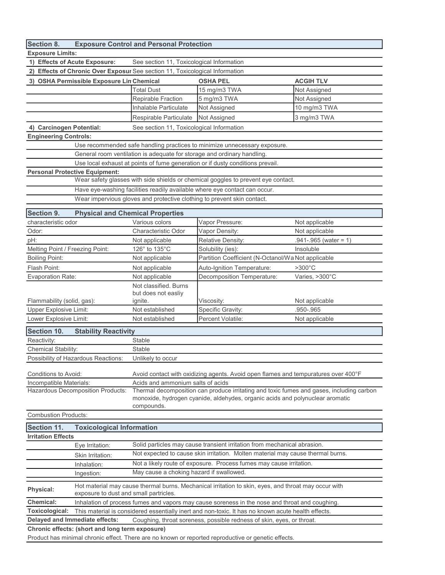| Section 8.                                                                                                                                                                                                                      |                                                                                                      | <b>Exposure Control and Personal Protection</b>                                 |                                                                                          |                           |  |  |
|---------------------------------------------------------------------------------------------------------------------------------------------------------------------------------------------------------------------------------|------------------------------------------------------------------------------------------------------|---------------------------------------------------------------------------------|------------------------------------------------------------------------------------------|---------------------------|--|--|
| <b>Exposure Limits:</b>                                                                                                                                                                                                         |                                                                                                      |                                                                                 |                                                                                          |                           |  |  |
| 1) Effects of Acute Exposure:                                                                                                                                                                                                   |                                                                                                      | See section 11, Toxicological Information                                       |                                                                                          |                           |  |  |
|                                                                                                                                                                                                                                 |                                                                                                      | 2) Effects of Chronic Over Exposur See section 11, Toxicological Information    |                                                                                          |                           |  |  |
|                                                                                                                                                                                                                                 | 3) OSHA Permissible Exposure Lin Chemical                                                            |                                                                                 | <b>OSHA PEL</b>                                                                          | <b>ACGIH TLV</b>          |  |  |
|                                                                                                                                                                                                                                 |                                                                                                      | <b>Total Dust</b>                                                               | 15 mg/m3 TWA                                                                             | Not Assigned              |  |  |
|                                                                                                                                                                                                                                 |                                                                                                      | Repirable Fraction                                                              | 5 mg/m3 TWA                                                                              | Not Assigned              |  |  |
|                                                                                                                                                                                                                                 |                                                                                                      | Inhalable Particulate                                                           | Not Assigned                                                                             | 10 mg/m3 TWA              |  |  |
|                                                                                                                                                                                                                                 |                                                                                                      | Respirable Particulate                                                          | Not Assigned                                                                             | 3 mg/m3 TWA               |  |  |
| 4) Carcinogen Potential:                                                                                                                                                                                                        |                                                                                                      | See section 11, Toxicological Information                                       |                                                                                          |                           |  |  |
| <b>Engineering Controls:</b>                                                                                                                                                                                                    |                                                                                                      |                                                                                 |                                                                                          |                           |  |  |
| Use recommended safe handling practices to minimize unnecessary exposure.                                                                                                                                                       |                                                                                                      |                                                                                 |                                                                                          |                           |  |  |
|                                                                                                                                                                                                                                 |                                                                                                      |                                                                                 | General room ventilation is adequate for storage and ordinary handling.                  |                           |  |  |
|                                                                                                                                                                                                                                 |                                                                                                      |                                                                                 | Use local exhaust at points of fume generation or if dusty conditions prevail.           |                           |  |  |
|                                                                                                                                                                                                                                 | <b>Personal Protective Equipment:</b>                                                                |                                                                                 |                                                                                          |                           |  |  |
|                                                                                                                                                                                                                                 |                                                                                                      |                                                                                 | Wear safety glasses with side shields or chemical goggles to prevent eye contact.        |                           |  |  |
|                                                                                                                                                                                                                                 |                                                                                                      |                                                                                 | Have eye-washing facilities readily available where eye contact can occur.               |                           |  |  |
|                                                                                                                                                                                                                                 |                                                                                                      |                                                                                 | Wear impervious gloves and protective clothing to prevent skin contact.                  |                           |  |  |
|                                                                                                                                                                                                                                 |                                                                                                      |                                                                                 |                                                                                          |                           |  |  |
| Section 9.                                                                                                                                                                                                                      | <b>Physical and Chemical Properties</b>                                                              |                                                                                 |                                                                                          |                           |  |  |
| characteristic odor                                                                                                                                                                                                             |                                                                                                      | Various colors                                                                  | Vapor Pressure:                                                                          | Not applicable            |  |  |
| Odor:                                                                                                                                                                                                                           |                                                                                                      | Characteristic Odor                                                             | Vapor Density:                                                                           | Not applicable            |  |  |
| pH:                                                                                                                                                                                                                             |                                                                                                      | Not applicable                                                                  | Relative Density:                                                                        | $.941 - .965$ (water = 1) |  |  |
| Melting Point / Freezing Point:                                                                                                                                                                                                 |                                                                                                      | 126° to 135°C                                                                   | Solubility (ies):                                                                        | Insoluble                 |  |  |
| <b>Boiling Point:</b>                                                                                                                                                                                                           |                                                                                                      | Not applicable                                                                  | Partition Coefficient (N-Octanol/Wa Not applicable                                       |                           |  |  |
| Flash Point:                                                                                                                                                                                                                    |                                                                                                      | Not applicable                                                                  | Auto-Ignition Temperature:                                                               | $>300^{\circ}$ C          |  |  |
| <b>Evaporation Rate:</b>                                                                                                                                                                                                        |                                                                                                      | Not applicable                                                                  | Decomposition Temperature:                                                               | Varies, >300°C            |  |  |
|                                                                                                                                                                                                                                 |                                                                                                      | Not classified. Burns                                                           |                                                                                          |                           |  |  |
| Flammability (solid, gas):                                                                                                                                                                                                      |                                                                                                      | but does not easliy<br>ignite.                                                  | Viscosity:                                                                               | Not applicable            |  |  |
| <b>Upper Explosive Limit:</b>                                                                                                                                                                                                   |                                                                                                      | Not established                                                                 | Specific Gravity:                                                                        | .950-.965                 |  |  |
| Lower Explosive Limit:                                                                                                                                                                                                          |                                                                                                      | Not established                                                                 | Percent Volatile:                                                                        | Not applicable            |  |  |
|                                                                                                                                                                                                                                 |                                                                                                      |                                                                                 |                                                                                          |                           |  |  |
| Section 10.                                                                                                                                                                                                                     | <b>Stability Reactivity</b>                                                                          |                                                                                 |                                                                                          |                           |  |  |
| Reactivity:                                                                                                                                                                                                                     |                                                                                                      | Stable                                                                          |                                                                                          |                           |  |  |
| Chemical Stability:                                                                                                                                                                                                             |                                                                                                      | <b>Stable</b>                                                                   |                                                                                          |                           |  |  |
|                                                                                                                                                                                                                                 | Possibility of Hazardous Reactions:                                                                  | Unlikely to occur                                                               |                                                                                          |                           |  |  |
| Conditions to Avoid:                                                                                                                                                                                                            |                                                                                                      |                                                                                 | Avoid contact with oxidizing agents. Avoid open flames and tempuratures over 400°F       |                           |  |  |
| Incompatible Materials:                                                                                                                                                                                                         |                                                                                                      | Acids and ammonium salts of acids                                               |                                                                                          |                           |  |  |
|                                                                                                                                                                                                                                 | <b>Hazardous Decomposition Products:</b>                                                             |                                                                                 | Thermal decomposition can produce irritating and toxic fumes and gases, including carbon |                           |  |  |
|                                                                                                                                                                                                                                 |                                                                                                      | monoxide, hydrogen cyanide, aldehydes, organic acids and polynuclear aromatic   |                                                                                          |                           |  |  |
|                                                                                                                                                                                                                                 |                                                                                                      | compounds.                                                                      |                                                                                          |                           |  |  |
| <b>Combustion Products:</b>                                                                                                                                                                                                     |                                                                                                      |                                                                                 |                                                                                          |                           |  |  |
| Section 11.                                                                                                                                                                                                                     | <b>Toxicological Information</b>                                                                     |                                                                                 |                                                                                          |                           |  |  |
| <b>Irritation Effects</b>                                                                                                                                                                                                       |                                                                                                      |                                                                                 |                                                                                          |                           |  |  |
|                                                                                                                                                                                                                                 | Eye Irritation:                                                                                      |                                                                                 | Solid particles may cause transient irritation from mechanical abrasion.                 |                           |  |  |
|                                                                                                                                                                                                                                 | Skin Irritation:                                                                                     | Not expected to cause skin irritation. Molten material may cause thermal burns. |                                                                                          |                           |  |  |
|                                                                                                                                                                                                                                 | Inhalation:                                                                                          | Not a likely route of exposure. Process fumes may cause irritation.             |                                                                                          |                           |  |  |
|                                                                                                                                                                                                                                 | Ingestion:                                                                                           | May cause a choking hazard if swallowed.                                        |                                                                                          |                           |  |  |
|                                                                                                                                                                                                                                 |                                                                                                      |                                                                                 |                                                                                          |                           |  |  |
| Physical:                                                                                                                                                                                                                       | Hot material may cause thermal burns. Mechanical irritation to skin, eyes, and throat may occur with |                                                                                 |                                                                                          |                           |  |  |
|                                                                                                                                                                                                                                 | exposure to dust and small partricles.                                                               |                                                                                 |                                                                                          |                           |  |  |
| <b>Chemical:</b><br>Inhalation of process fumes and vapors may cause soreness in the nose and throat and coughing.                                                                                                              |                                                                                                      |                                                                                 |                                                                                          |                           |  |  |
| Toxicological:<br>This material is considered essentially inert and non-toxic. It has no known acute health effects.<br>Delayed and Immediate effects:<br>Coughing, throat soreness, possible redness of skin, eyes, or throat. |                                                                                                      |                                                                                 |                                                                                          |                           |  |  |
|                                                                                                                                                                                                                                 |                                                                                                      |                                                                                 |                                                                                          |                           |  |  |
| Chronic effects: (short and long term exposure)                                                                                                                                                                                 |                                                                                                      |                                                                                 |                                                                                          |                           |  |  |
| Product has minimal chronic effect. There are no known or reported reproductive or genetic effects.                                                                                                                             |                                                                                                      |                                                                                 |                                                                                          |                           |  |  |